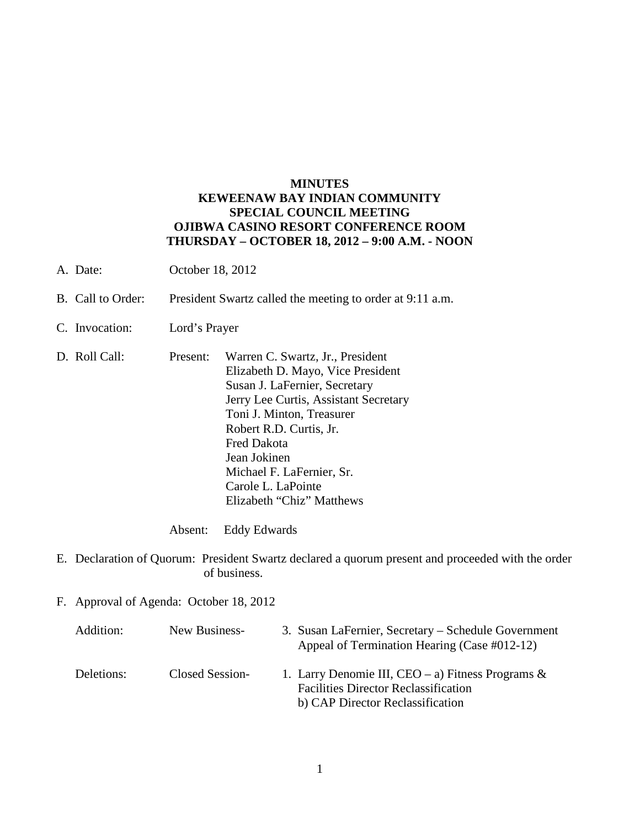## **MINUTES KEWEENAW BAY INDIAN COMMUNITY SPECIAL COUNCIL MEETING OJIBWA CASINO RESORT CONFERENCE ROOM THURSDAY – OCTOBER 18, 2012 – 9:00 A.M. - NOON**

- A. Date: October 18, 2012
- B. Call to Order: President Swartz called the meeting to order at 9:11 a.m.
- C. Invocation: Lord's Prayer
- D. Roll Call: Present: Warren C. Swartz, Jr., President Elizabeth D. Mayo, Vice President Susan J. LaFernier, Secretary Jerry Lee Curtis, Assistant Secretary Toni J. Minton, Treasurer Robert R.D. Curtis, Jr. Fred Dakota Jean Jokinen Michael F. LaFernier, Sr. Carole L. LaPointe Elizabeth "Chiz" Matthews

Absent: Eddy Edwards

- E. Declaration of Quorum: President Swartz declared a quorum present and proceeded with the order of business.
- F. Approval of Agenda: October 18, 2012

| Addition:  | New Business-   | 3. Susan LaFernier, Secretary – Schedule Government<br>Appeal of Termination Hearing (Case #012-12)                                     |
|------------|-----------------|-----------------------------------------------------------------------------------------------------------------------------------------|
| Deletions: | Closed Session- | 1. Larry Denomie III, CEO – a) Fitness Programs $\&$<br><b>Facilities Director Reclassification</b><br>b) CAP Director Reclassification |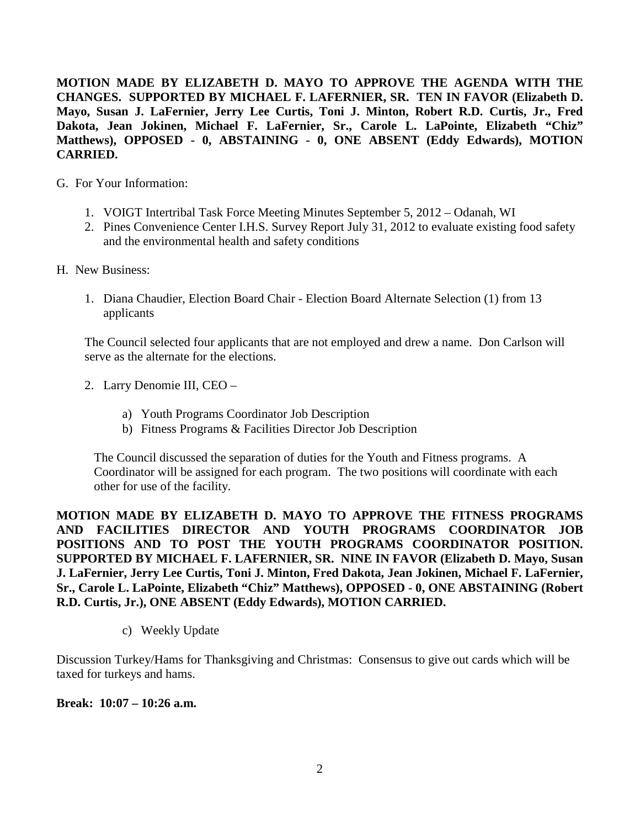**MOTION MADE BY ELIZABETH D. MAYO TO APPROVE THE AGENDA WITH THE CHANGES. SUPPORTED BY MICHAEL F. LAFERNIER, SR. TEN IN FAVOR (Elizabeth D. Mayo, Susan J. LaFernier, Jerry Lee Curtis, Toni J. Minton, Robert R.D. Curtis, Jr., Fred Dakota, Jean Jokinen, Michael F. LaFernier, Sr., Carole L. LaPointe, Elizabeth "Chiz" Matthews), OPPOSED - 0, ABSTAINING - 0, ONE ABSENT (Eddy Edwards), MOTION CARRIED.**

- G. For Your Information:
	- 1. VOIGT Intertribal Task Force Meeting Minutes September 5, 2012 Odanah, WI
	- 2. Pines Convenience Center I.H.S. Survey Report July 31, 2012 to evaluate existing food safety and the environmental health and safety conditions
- H. New Business:
	- 1. Diana Chaudier, Election Board Chair Election Board Alternate Selection (1) from 13 applicants

The Council selected four applicants that are not employed and drew a name. Don Carlson will serve as the alternate for the elections.

- 2. Larry Denomie III, CEO
	- a) Youth Programs Coordinator Job Description
	- b) Fitness Programs & Facilities Director Job Description

The Council discussed the separation of duties for the Youth and Fitness programs. A Coordinator will be assigned for each program. The two positions will coordinate with each other for use of the facility.

**MOTION MADE BY ELIZABETH D. MAYO TO APPROVE THE FITNESS PROGRAMS AND FACILITIES DIRECTOR AND YOUTH PROGRAMS COORDINATOR JOB POSITIONS AND TO POST THE YOUTH PROGRAMS COORDINATOR POSITION. SUPPORTED BY MICHAEL F. LAFERNIER, SR. NINE IN FAVOR (Elizabeth D. Mayo, Susan J. LaFernier, Jerry Lee Curtis, Toni J. Minton, Fred Dakota, Jean Jokinen, Michael F. LaFernier, Sr., Carole L. LaPointe, Elizabeth "Chiz" Matthews), OPPOSED - 0, ONE ABSTAINING (Robert R.D. Curtis, Jr.), ONE ABSENT (Eddy Edwards), MOTION CARRIED.**

c) Weekly Update

Discussion Turkey/Hams for Thanksgiving and Christmas: Consensus to give out cards which will be taxed for turkeys and hams.

**Break: 10:07 – 10:26 a.m.**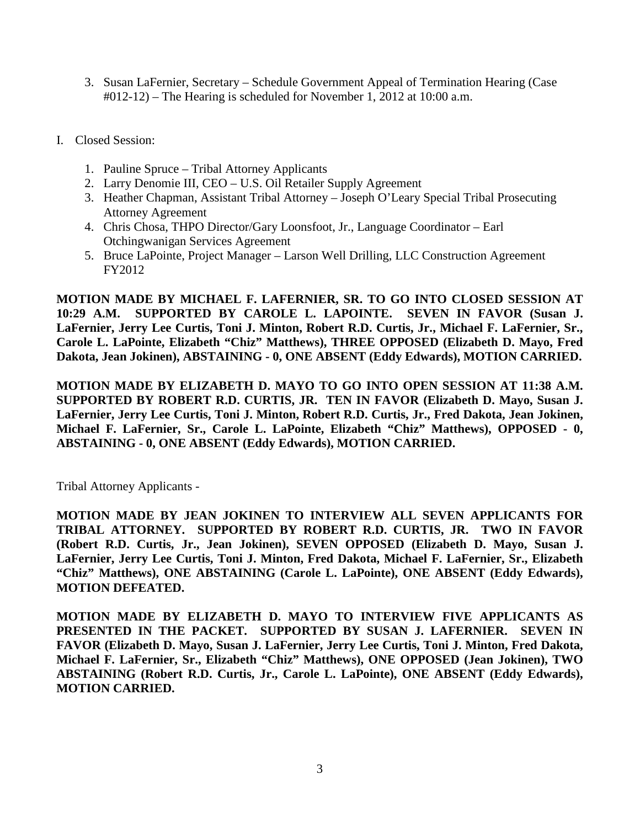- 3. Susan LaFernier, Secretary Schedule Government Appeal of Termination Hearing (Case #012-12) – The Hearing is scheduled for November 1, 2012 at 10:00 a.m.
- I. Closed Session:
	- 1. Pauline Spruce Tribal Attorney Applicants
	- 2. Larry Denomie III, CEO U.S. Oil Retailer Supply Agreement
	- 3. Heather Chapman, Assistant Tribal Attorney Joseph O'Leary Special Tribal Prosecuting Attorney Agreement
	- 4. Chris Chosa, THPO Director/Gary Loonsfoot, Jr., Language Coordinator Earl Otchingwanigan Services Agreement
	- 5. Bruce LaPointe, Project Manager Larson Well Drilling, LLC Construction Agreement FY2012

**MOTION MADE BY MICHAEL F. LAFERNIER, SR. TO GO INTO CLOSED SESSION AT 10:29 A.M. SUPPORTED BY CAROLE L. LAPOINTE. SEVEN IN FAVOR (Susan J. LaFernier, Jerry Lee Curtis, Toni J. Minton, Robert R.D. Curtis, Jr., Michael F. LaFernier, Sr., Carole L. LaPointe, Elizabeth "Chiz" Matthews), THREE OPPOSED (Elizabeth D. Mayo, Fred Dakota, Jean Jokinen), ABSTAINING - 0, ONE ABSENT (Eddy Edwards), MOTION CARRIED.**

**MOTION MADE BY ELIZABETH D. MAYO TO GO INTO OPEN SESSION AT 11:38 A.M. SUPPORTED BY ROBERT R.D. CURTIS, JR. TEN IN FAVOR (Elizabeth D. Mayo, Susan J. LaFernier, Jerry Lee Curtis, Toni J. Minton, Robert R.D. Curtis, Jr., Fred Dakota, Jean Jokinen, Michael F. LaFernier, Sr., Carole L. LaPointe, Elizabeth "Chiz" Matthews), OPPOSED - 0, ABSTAINING - 0, ONE ABSENT (Eddy Edwards), MOTION CARRIED.**

Tribal Attorney Applicants -

**MOTION MADE BY JEAN JOKINEN TO INTERVIEW ALL SEVEN APPLICANTS FOR TRIBAL ATTORNEY. SUPPORTED BY ROBERT R.D. CURTIS, JR. TWO IN FAVOR (Robert R.D. Curtis, Jr., Jean Jokinen), SEVEN OPPOSED (Elizabeth D. Mayo, Susan J. LaFernier, Jerry Lee Curtis, Toni J. Minton, Fred Dakota, Michael F. LaFernier, Sr., Elizabeth "Chiz" Matthews), ONE ABSTAINING (Carole L. LaPointe), ONE ABSENT (Eddy Edwards), MOTION DEFEATED.**

**MOTION MADE BY ELIZABETH D. MAYO TO INTERVIEW FIVE APPLICANTS AS PRESENTED IN THE PACKET. SUPPORTED BY SUSAN J. LAFERNIER. SEVEN IN FAVOR (Elizabeth D. Mayo, Susan J. LaFernier, Jerry Lee Curtis, Toni J. Minton, Fred Dakota, Michael F. LaFernier, Sr., Elizabeth "Chiz" Matthews), ONE OPPOSED (Jean Jokinen), TWO ABSTAINING (Robert R.D. Curtis, Jr., Carole L. LaPointe), ONE ABSENT (Eddy Edwards), MOTION CARRIED.**